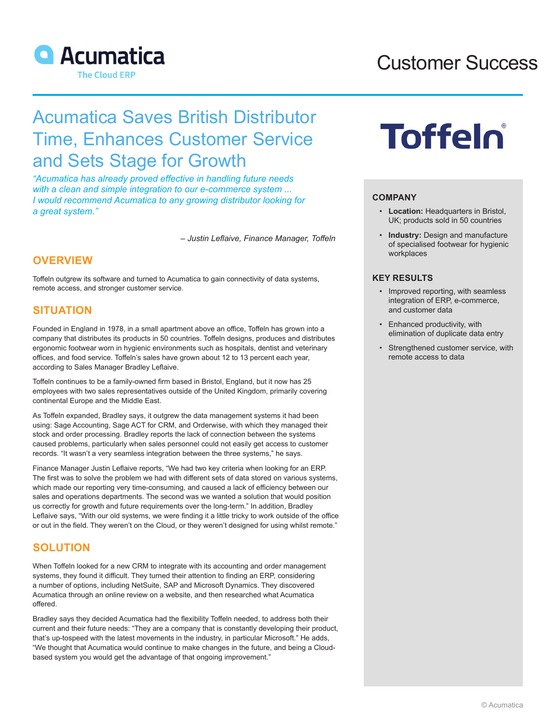

## Customer Success

## Acumatica Saves British Distributor Time, Enhances Customer Service and Sets Stage for Growth

*"Acumatica has already proved effective in handling future needs with a clean and simple integration to our e-commerce system ... I would recommend Acumatica to any growing distributor looking for a great system."*

*– Justin Leflaive, Finance Manager, Toffeln*

### **OVERVIEW**

Toffeln outgrew its software and turned to Acumatica to gain connectivity of data systems, remote access, and stronger customer service.

### **SITUATION**

Founded in England in 1978, in a small apartment above an office, Toffeln has grown into a company that distributes its products in 50 countries. Toffeln designs, produces and distributes ergonomic footwear worn in hygienic environments such as hospitals, dentist and veterinary offices, and food service. Toffeln's sales have grown about 12 to 13 percent each year, according to Sales Manager Bradley Leflaive.

Toffeln continues to be a family-owned firm based in Bristol, England, but it now has 25 employees with two sales representatives outside of the United Kingdom, primarily covering continental Europe and the Middle East.

As Toffeln expanded, Bradley says, it outgrew the data management systems it had been using: Sage Accounting, Sage ACT for CRM, and Orderwise, with which they managed their stock and order processing. Bradley reports the lack of connection between the systems caused problems, particularly when sales personnel could not easily get access to customer records. "It wasn't a very seamless integration between the three systems," he says.

Finance Manager Justin Leflaive reports, "We had two key criteria when looking for an ERP. The first was to solve the problem we had with different sets of data stored on various systems, which made our reporting very time-consuming, and caused a lack of efficiency between our sales and operations departments. The second was we wanted a solution that would position us correctly for growth and future requirements over the long-term." In addition, Bradley Leflaive says, "With our old systems, we were finding it a little tricky to work outside of the office or out in the field. They weren't on the Cloud, or they weren't designed for using whilst remote."

### **SOLUTION**

When Toffeln looked for a new CRM to integrate with its accounting and order management systems, they found it difficult. They turned their attention to finding an ERP, considering a number of options, including NetSuite, SAP and Microsoft Dynamics. They discovered Acumatica through an online review on a website, and then researched what Acumatica offered.

Bradley says they decided Acumatica had the flexibility Toffeln needed, to address both their current and their future needs: "They are a company that is constantly developing their product, that's up-tospeed with the latest movements in the industry, in particular Microsoft." He adds, "We thought that Acumatica would continue to make changes in the future, and being a Cloudbased system you would get the advantage of that ongoing improvement."

# **Toffelo**

#### **COMPANY**

- **Location:** Headquarters in Bristol, UK; products sold in 50 countries
- **Industry:** Design and manufacture of specialised footwear for hygienic workplaces

#### **KEY RESULTS**

- Improved reporting, with seamless integration of ERP, e-commerce, and customer data
- Enhanced productivity, with elimination of duplicate data entry
- Strengthened customer service, with remote access to data